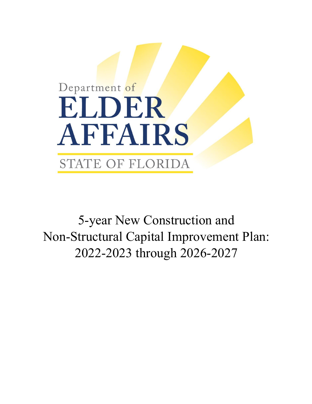

5-year New Construction and Non-Structural Capital Improvement Plan: 2022-2023 through 2026-2027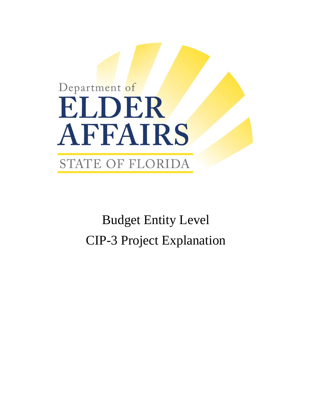## Department of ELDER AFFAIRS STATE OF FLORIDA

Budget Entity Level CIP-3 Project Explanation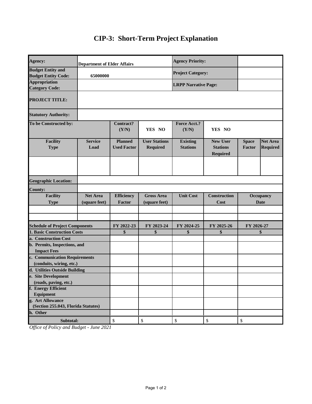## **CIP-3: Short-Term Project Explanation**

| Agency:                                                   | <b>Department of Elder Affairs</b> |                                      |                                         | <b>Agency Priority:</b>            |                                                       |                                 |                                    |
|-----------------------------------------------------------|------------------------------------|--------------------------------------|-----------------------------------------|------------------------------------|-------------------------------------------------------|---------------------------------|------------------------------------|
| <b>Budget Entity and</b><br><b>Budget Entity Code:</b>    | 65000000                           |                                      |                                         | <b>Project Category:</b>           |                                                       |                                 |                                    |
| <b>Appropriation</b><br><b>Category Code:</b>             |                                    |                                      |                                         |                                    | <b>LRPP Narrative Page:</b>                           |                                 |                                    |
| <b>PROJECT TITLE:</b>                                     |                                    |                                      |                                         |                                    |                                                       |                                 |                                    |
| <b>Statutory Authority:</b>                               |                                    |                                      |                                         |                                    |                                                       |                                 |                                    |
| To be Constructed by:                                     |                                    | Contract?<br>(Y/N)                   | YES NO                                  | Force Acct.?<br>(Y/N)              | YES NO                                                |                                 |                                    |
| <b>Facility</b><br><b>Type</b>                            | <b>Service</b><br>Load             | <b>Planned</b><br><b>Used Factor</b> | <b>User Stations</b><br><b>Required</b> | <b>Existing</b><br><b>Stations</b> | <b>New User</b><br><b>Stations</b><br><b>Required</b> | <b>Space</b><br>Factor          | <b>Net Area</b><br><b>Required</b> |
|                                                           |                                    |                                      |                                         |                                    |                                                       |                                 |                                    |
| <b>Geographic Location:</b>                               |                                    |                                      |                                         |                                    |                                                       |                                 |                                    |
| <b>County:</b>                                            |                                    |                                      |                                         |                                    |                                                       |                                 |                                    |
| <b>Facility</b><br><b>Type</b>                            | <b>Net Area</b><br>(square feet)   | <b>Efficiency</b><br>Factor          | <b>Gross Area</b><br>(square feet)      | <b>Unit Cost</b>                   | <b>Construction</b><br>Cost                           | <b>Occupancy</b><br><b>Date</b> |                                    |
|                                                           |                                    |                                      |                                         |                                    |                                                       |                                 |                                    |
| <b>Schedule of Project Components</b>                     |                                    | FY 2022-23                           | FY 2023-24                              | FY 2024-25                         | FY 2025-26                                            | FY 2026-27                      |                                    |
| <b>1. Basic Construction Costs</b>                        |                                    | \$                                   | \$                                      | \$                                 | \$                                                    | \$                              |                                    |
| a. Construction Cost                                      |                                    |                                      |                                         |                                    |                                                       |                                 |                                    |
| b. Permits, Inspections, and                              |                                    |                                      |                                         |                                    |                                                       |                                 |                                    |
| <b>Impact Fees</b>                                        |                                    |                                      |                                         |                                    |                                                       |                                 |                                    |
| c. Communication Requirements                             |                                    |                                      |                                         |                                    |                                                       |                                 |                                    |
| (conduits, wiring, etc.)<br>d. Utilities Outside Building |                                    |                                      |                                         |                                    |                                                       |                                 |                                    |
| e. Site Development                                       |                                    |                                      |                                         |                                    |                                                       |                                 |                                    |
| (roads, paving, etc.)                                     |                                    |                                      |                                         |                                    |                                                       |                                 |                                    |
| f. Energy Efficient                                       |                                    |                                      |                                         |                                    |                                                       |                                 |                                    |
| Equipment                                                 |                                    |                                      |                                         |                                    |                                                       |                                 |                                    |
| g. Art Allowance                                          |                                    |                                      |                                         |                                    |                                                       |                                 |                                    |
| (Section 255.043, Florida Statutes)                       |                                    |                                      |                                         |                                    |                                                       |                                 |                                    |
| h. Other                                                  |                                    |                                      |                                         |                                    |                                                       |                                 |                                    |
| Subtotal:                                                 |                                    | \$                                   | \$                                      | \$                                 | \$                                                    | \$                              |                                    |

*Office of Policy and Budget - June 2021*